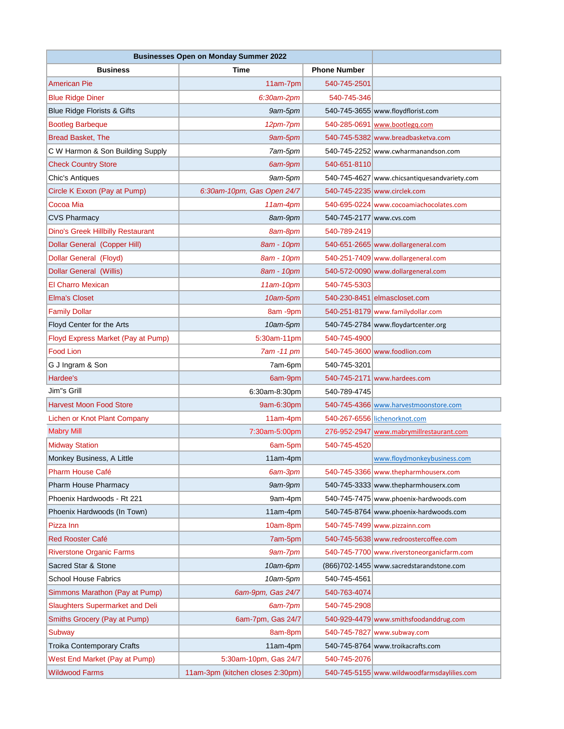| <b>Businesses Open on Monday Summer 2022</b> |                                  |                          |                                              |
|----------------------------------------------|----------------------------------|--------------------------|----------------------------------------------|
| <b>Business</b>                              | Time                             | <b>Phone Number</b>      |                                              |
| American Pie                                 | 11am-7pm                         | 540-745-2501             |                                              |
| <b>Blue Ridge Diner</b>                      | 6:30am-2pm                       | 540-745-346              |                                              |
| <b>Blue Ridge Florists &amp; Gifts</b>       | 9am-5pm                          |                          | 540-745-3655 www.floydflorist.com            |
| <b>Bootleg Barbeque</b>                      | 12pm-7pm                         |                          | 540-285-0691 www.bootlegg.com                |
| <b>Bread Basket, The</b>                     | 9am-5pm                          |                          | 540-745-5382 www.breadbasketva.com           |
| C W Harmon & Son Building Supply             | 7am-5pm                          |                          | 540-745-2252 www.cwharmanandson.com          |
| <b>Check Country Store</b>                   | 6am-9pm                          | 540-651-8110             |                                              |
| Chic's Antiques                              | 9am-5pm                          |                          | 540-745-4627 www.chicsantiquesandvariety.com |
| Circle K Exxon (Pay at Pump)                 | 6:30am-10pm, Gas Open 24/7       |                          | 540-745-2235 www.circlek.com                 |
| Cocoa Mia                                    | 11am-4pm                         |                          | 540-695-0224 www.cocoamiachocolates.com      |
| <b>CVS Pharmacy</b>                          | 8am-9pm                          | 540-745-2177 www.cvs.com |                                              |
| <b>Dino's Greek Hillbilly Restaurant</b>     | 8am-8pm                          | 540-789-2419             |                                              |
| Dollar General (Copper Hill)                 | 8am - 10pm                       |                          | 540-651-2665 www.dollargeneral.com           |
| Dollar General (Floyd)                       | 8am - 10pm                       |                          | 540-251-7409 www.dollargeneral.com           |
| <b>Dollar General (Willis)</b>               | 8am - 10pm                       |                          | 540-572-0090 www.dollargeneral.com           |
| <b>El Charro Mexican</b>                     | 11am-10pm                        | 540-745-5303             |                                              |
| <b>Elma's Closet</b>                         | 10am-5pm                         |                          | 540-230-8451 elmascloset.com                 |
| <b>Family Dollar</b>                         | 8am -9pm                         |                          | 540-251-8179 www.familydollar.com            |
| Floyd Center for the Arts                    | 10am-5pm                         |                          | 540-745-2784 www.floydartcenter.org          |
| Floyd Express Market (Pay at Pump)           | 5:30am-11pm                      | 540-745-4900             |                                              |
| <b>Food Lion</b>                             | 7am -11 pm                       |                          | 540-745-3600 www.foodlion.com                |
| G J Ingram & Son                             | 7am-6pm                          | 540-745-3201             |                                              |
| Hardee's                                     | 6am-9pm                          |                          | 540-745-2171 www.hardees.com                 |
| Jim"s Grill                                  | 6:30am-8:30pm                    | 540-789-4745             |                                              |
| <b>Harvest Moon Food Store</b>               | 9am-6:30pm                       |                          | 540-745-4366 www.harvestmoonstore.com        |
| Lichen or Knot Plant Company                 | $11am-4pm$                       |                          | 540-267-6556 lichenorknot.com                |
| <b>Mabry Mill</b>                            | 7:30am-5:00pm                    |                          | 276-952-2947 www.mabrymillrestaurant.com     |
| <b>Midway Station</b>                        | 6am-5pm                          | 540-745-4520             |                                              |
| Monkey Business, A Little                    | $11am-4dm$                       |                          | www.floydmonkeybusiness.com                  |
| <b>Pharm House Café</b>                      | 6am-3pm                          |                          | 540-745-3366 www.thepharmhouserx.com         |
| <b>Pharm House Pharmacy</b>                  | 9am-9pm                          |                          | 540-745-3333 www.thepharmhouserx.com         |
| Phoenix Hardwoods - Rt 221                   | 9am-4pm                          |                          | 540-745-7475 www.phoenix-hardwoods.com       |
| Phoenix Hardwoods (In Town)                  | 11am-4pm                         |                          | 540-745-8764 www.phoenix-hardwoods.com       |
| Pizza Inn                                    | 10am-8pm                         |                          | 540-745-7499 www.pizzainn.com                |
| <b>Red Rooster Café</b>                      | 7am-5pm                          |                          | 540-745-5638 www.redroostercoffee.com        |
| <b>Riverstone Organic Farms</b>              | 9am-7pm                          |                          | 540-745-7700 www.riverstoneorganicfarm.com   |
| Sacred Star & Stone                          | 10am-6pm                         |                          | (866) 702-1455 www.sacredstarandstone.com    |
| <b>School House Fabrics</b>                  | 10am-5pm                         | 540-745-4561             |                                              |
| Simmons Marathon (Pay at Pump)               | 6am-9pm, Gas 24/7                | 540-763-4074             |                                              |
| <b>Slaughters Supermarket and Deli</b>       | 6am-7pm                          | 540-745-2908             |                                              |
| Smiths Grocery (Pay at Pump)                 | 6am-7pm, Gas 24/7                |                          | 540-929-4479 www.smithsfoodanddrug.com       |
| <b>Subway</b>                                | 8am-8pm                          |                          | 540-745-7827 www.subway.com                  |
| Troika Contemporary Crafts                   | 11am-4pm                         |                          | 540-745-8764 www.troikacrafts.com            |
| West End Market (Pay at Pump)                | 5:30am-10pm, Gas 24/7            | 540-745-2076             |                                              |
| <b>Wildwood Farms</b>                        | 11am-3pm (kitchen closes 2:30pm) |                          | 540-745-5155 www.wildwoodfarmsdaylilies.com  |